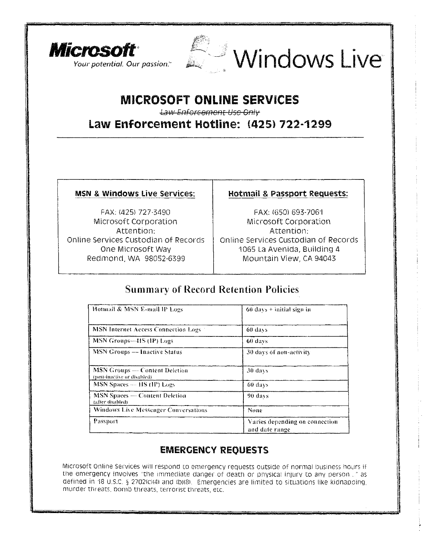



# **MICROSOFT ONLINE SERVICES**

*•Lsw-EMerccmcnt Use Onty-*

Law Enforcement Hotline: **(425)** 722-1299

FAX: (425) 727-3490 FAX: (650) 693-7061 Microsoft Corporation **Microsoft Corporation** Attention: Attention: Redmond, WA 98052-6399 Mountain View, CA 94043

### **MSN & Windows Live Services: | Hotmail & Passport Requests:**

Online Services Custodian of Records | Online Services Custodian of Records One Microsoft Way 1065 La Avenida, Building 4

# Summary of Record Retention Policies

| Hotmail & MSN E-mail IP Logs                                   | $60$ days $+$ initial sign in                    |
|----------------------------------------------------------------|--------------------------------------------------|
| MSN Internet Access Connection Logs                            | 60 days                                          |
| MSN Groups—HS (IP) Logs                                        | 60 days                                          |
| <b>MSN Groups -- Inactive Status</b>                           | 30 days of non-activity                          |
| $MSN$ Groups — Content Deletion<br>(post-inactive or disabled) | 30 days                                          |
| MSN Spaces --- HS (IP) Logs                                    | 60 days                                          |
| <b>MSN Spaces — Content Deletion</b><br>(after disabled)       | $90 \, \text{days}$                              |
| <b>Windows Live Messenger Conversations</b>                    | None                                             |
| Passport                                                       | Varies depending on connection<br>and date range |

# **EMERGENCY REQUESTS**

Microsoft online Services will respond to emergency requests outside of normal business hours if the emergency involves "the immediate danger of death or physical injury to any person..." as defined in 18 u.S.C. § 2702(c)(4) and (b)(8). Emergencies are limited to situations like kidnapping, murder threats, bomb threats, terrorist threats, etc.